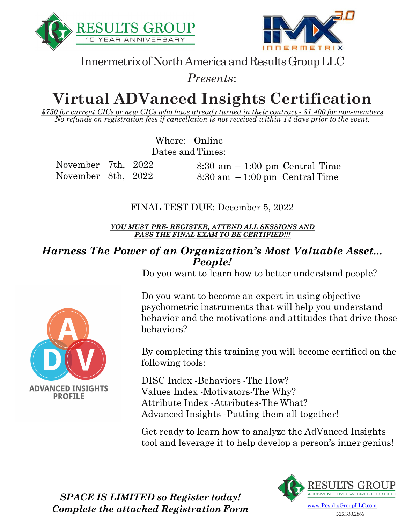



Innermetrix of North America and Results Group LLC

*Presents*:

# **Virtual ADVanced Insights Certification**

*\$750 for current CICs or new CICs who have already turned in their contract - \$1,400 for non-members No refunds on registration fees if cancellation is not received within 14 days prior to the event.*

> Where: Online Dates and Times:

November 7th, 2022 November 8th, 2022 8:30 am – 1:00 pm Central Time  $8:30 \text{ am } -1:00 \text{ pm}$  Central Time

FINAL TEST DUE: December 5, 2022

*YOU MUST PRE- REGISTER, ATTEND ALL SESSIONS AND PASS THE FINAL EXAM TO BE CERTIFIED!!!*

#### *Harness The Power of an Organization's Most Valuable Asset... People!*

Do you want to learn how to better understand people?

Do you want to become an expert in using objective psychometric instruments that will help you understand behavior and the motivations and attitudes that drive those behaviors?

By completing this training you will become certified on the following tools:

DISC Index -Behaviors -The How? Values Index -Motivators-The Why? Attribute Index -Attributes-The What? Advanced Insights -Putting them all together!

Get ready to learn how to analyze the AdVanced Insights tool and leverage it to help develop a person's inner genius!



515.330.2866



*SPACE IS LIMITED so Register today! Complete the attached Registration Form*